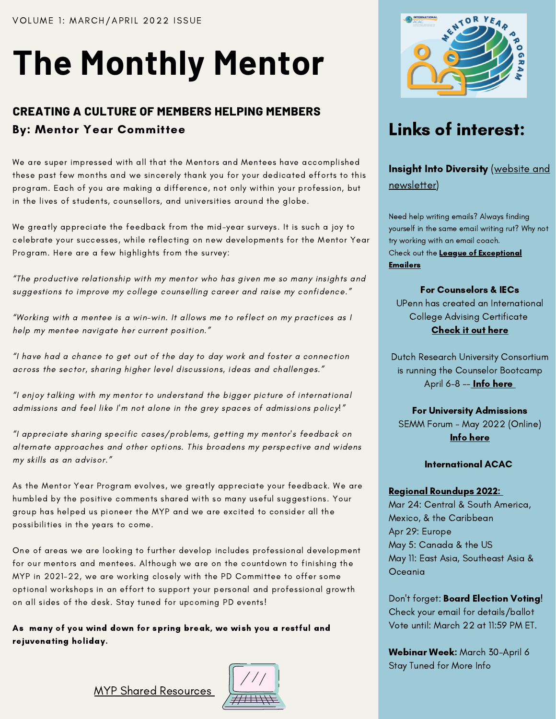# **The Monthly Mentor**

## **CREATING A CULTURE OF MEMBERS HELPING MEMBERS** By: Mentor Year Committee

We are super impressed with all that the Mentors and Mentees have accomplished these past few months and we sincerely thank you for your dedicated efforts to this program. Each of you are making a difference, not only within your profession, but in the lives of students, counsellors, and universities around the globe.

We greatly appreciate the feedback from the mid-year surveys. It is such a joy to celebrate your successes, while reflecting on new developments for the Mentor Year Program. Here are a few highlights from the survey:

"The productive relationship with my mentor who has given me so many insights and suggestions to improve my college counselling career and raise my confidence."

"Working with a mentee is a win-win. It allows me to reflect on my practices as I help my mentee navigate her current position."

"I have had a chance to get out of the day to day work and foster a connection across the sector, sharing higher level discussions, ideas and challenges."

"I enjoy talking with my mentor to understand the bigger picture of international admissions and feel like I'm not alone in the grey spaces of admissions policy!"

"I appreciate sharing specific cases/problems, getting my mentor's feedback on alternate approaches and other options. This broadens my perspective and widens my skills as an advisor."

As the Mentor Year Program evolves, we greatly appreciate your feedback. We are humbled by the positive comments shared with so many useful suggestions. Your group has helped us pioneer the MYP and we are excited to consider all the possibilities in the years to come.

One of areas we are looking to further develop includes professional development for our mentors and mentees. Although we are on the countdown to finishing the MYP in 2021-22, we are working closely with the PD Committee to offer some optional workshops in an effort to support your personal and professional growth on all sides of the desk. Stay tuned for upcoming PD events!

As many of you wind down for spring break, we wish you a restful and rejuvenating holiday.

MYP Shared [Resources](https://drive.google.com/drive/folders/1yEZ0zs6v8MP5poFtzKocb4HDlb2-EjjT?usp=sharing)





## Links of interest:

Insight Into Diversity (website and [newsletter\)](https://www.insightintodiversity.com/)

Need help writing emails? Always finding yourself in the same email writing rut? Why not try working with an email coach. Check out the League of [Exceptional](https://www.emailcoaches.com/) Emailers

#### For Counselors & IECs

UPenn has created an International College Advising Certificate [Check](https://www.gse.upenn.edu/academics/center-professional-learning/international-college-advising-certificate) it out here

Dutch Research University Consortium is running the Counselor Bootcamp April 6[-](https://druconsortium.nl/calendar/list/?tribe-bar-date=2021-06-09)8 -- **Info [here](https://druconsortium.nl/calendar/list/?tribe-bar-date=2021-06-09)** 

#### For University Admissions

SEMM Forum - May 2022 (Online) Info [here](https://semmforum.ca/)

#### International ACAC

#### Regional [Roundups](https://www.internationalacac.org/regional-roundups-2022) 2022:

Mar 24: Central & South America, Mexico, & the Caribbean Apr 29: Europe May 5: Canada & the US May 11: East Asia, Southeast Asia & Oceania

Don't forget: Board Election Voting! Check your email for details/ballot Vote until: March 22 at 11:59 PM ET.

Webinar Week: March 30-April 6 Stay Tuned for More Info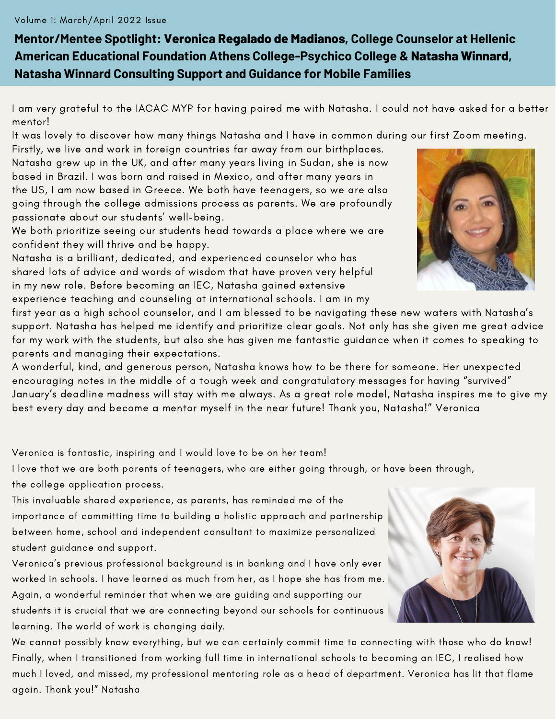#### Volume 1: March/April 2022 Issue

**Mentor/Mentee Spotlight: Veronica Regalado de Madianos, College Counselor at Hellenic American Educational Foundation Athens College-Psychico College & Natasha Winnard, Natasha Winnard Consulting Support and Guidance for Mobile Families**

I am very grateful to the IACAC MYP for having paired me with Natasha. I could not have asked for a better mentor!

It was lovely to discover how many things Natasha and I have in common during our first Zoom meeting.

Firstly, we live and work in foreign countries far away from our birthplaces. Natasha grew up in the UK, and after many years living in Sudan, she is now based in Brazil. I was born and raised in Mexico, and after many years in the US, I am now based in Greece. We both have teenagers, so we are also going through the college admissions process as parents. We are profoundly passionate about our students' well-being.

We both prioritize seeing our students head towards a place where we are confident they will thrive and be happy.

Natasha is a brilliant, dedicated, and experienced counselor who has shared lots of advice and words of wisdom that have proven very helpful in my new role. Before becoming an IEC, Natasha gained extensive experience teaching and counseling at international schools. I am in my

first year as a high school counselor, and I am blessed to be navigating these new waters with Natasha's support. Natasha has helped me identify and prioritize clear goals. Not only has she given me great advice for my work with the students, but also she has given me fantastic guidance when it comes to speaking to parents and managing their expectations.

A wonderful, kind, and generous person, Natasha knows how to be there for someone. Her unexpected encouraging notes in the middle of a tough week and congratulatory messages for having "survived" January's deadline madness will stay with me always. As a great role model, Natasha inspires me to give my best every day and become a mentor myself in the near future! Thank you, Natasha!" Veronica

Veronica is fantastic, inspiring and I would love to be on her team!

I love that we are both parents of teenagers, who are either going through, or have been through, the college application process.

This invaluable shared experience, as parents, has reminded me of the importance of committing time to building a holistic approach and partnership between home, school and independent consultant to maximize personalized student guidance and support.

Veronica's previous professional background is in banking and I have only ever worked in schools. I have learned as much from her, as I hope she has from me. Again, a wonderful reminder that when we are guiding and supporting our students it is crucial that we are connecting beyond our schools for continuous learning. The world of work is changing daily.

We cannot possibly know everything, but we can certainly commit time to connecting with those who do know! Finally, when I transitioned from working full time in international schools to becoming an IEC, I realised how much I loved, and missed, my professional mentoring role as a head of department. Veronica has lit that flame again. Thank you!" Natasha